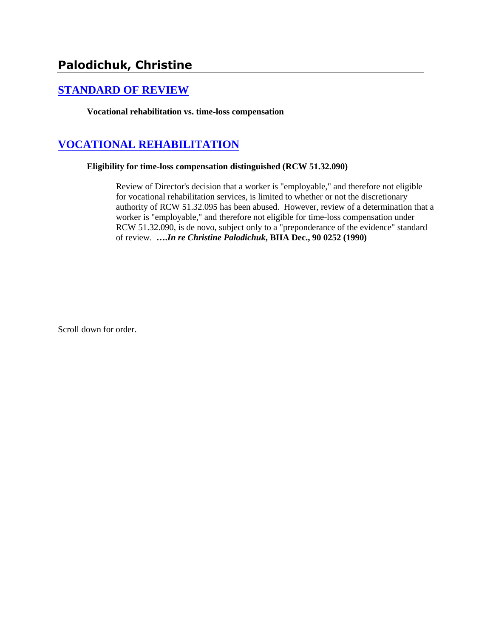# **Palodichuk, Christine**

## **[STANDARD OF REVIEW](http://www.biia.wa.gov/SDSubjectIndex.html#STANDARD_OF_REVIEW)**

**Vocational rehabilitation vs. time-loss compensation**

## **[VOCATIONAL REHABILITATION](http://www.biia.wa.gov/SDSubjectIndex.html#VOCATIONAL_REHABILITATION)**

#### **Eligibility for time-loss compensation distinguished (RCW 51.32.090)**

Review of Director's decision that a worker is "employable," and therefore not eligible for vocational rehabilitation services, is limited to whether or not the discretionary authority of RCW 51.32.095 has been abused. However, review of a determination that a worker is "employable," and therefore not eligible for time-loss compensation under RCW 51.32.090, is de novo, subject only to a "preponderance of the evidence" standard of review. **….***In re Christine Palodichuk***, BIIA Dec., 90 0252 (1990)** 

Scroll down for order.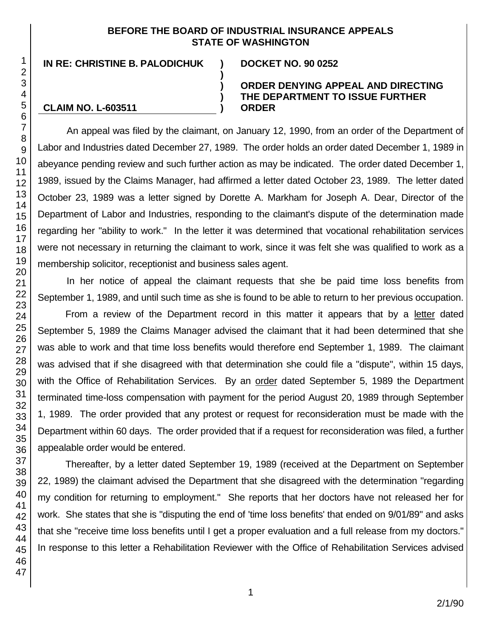#### **BEFORE THE BOARD OF INDUSTRIAL INSURANCE APPEALS STATE OF WASHINGTON**

**) ) ) )**

**IN RE: CHRISTINE B. PALODICHUK ) DOCKET NO. 90 0252**

## **CLAIM NO. L-603511**

#### **ORDER DENYING APPEAL AND DIRECTING THE DEPARTMENT TO ISSUE FURTHER ORDER**

An appeal was filed by the claimant, on January 12, 1990, from an order of the Department of Labor and Industries dated December 27, 1989. The order holds an order dated December 1, 1989 in abeyance pending review and such further action as may be indicated. The order dated December 1, 1989, issued by the Claims Manager, had affirmed a letter dated October 23, 1989. The letter dated October 23, 1989 was a letter signed by Dorette A. Markham for Joseph A. Dear, Director of the Department of Labor and Industries, responding to the claimant's dispute of the determination made regarding her "ability to work." In the letter it was determined that vocational rehabilitation services were not necessary in returning the claimant to work, since it was felt she was qualified to work as a membership solicitor, receptionist and business sales agent.

In her notice of appeal the claimant requests that she be paid time loss benefits from September 1, 1989, and until such time as she is found to be able to return to her previous occupation.

From a review of the Department record in this matter it appears that by a letter dated September 5, 1989 the Claims Manager advised the claimant that it had been determined that she was able to work and that time loss benefits would therefore end September 1, 1989. The claimant was advised that if she disagreed with that determination she could file a "dispute", within 15 days, with the Office of Rehabilitation Services. By an order dated September 5, 1989 the Department terminated time-loss compensation with payment for the period August 20, 1989 through September 1, 1989. The order provided that any protest or request for reconsideration must be made with the Department within 60 days. The order provided that if a request for reconsideration was filed, a further appealable order would be entered.

Thereafter, by a letter dated September 19, 1989 (received at the Department on September 22, 1989) the claimant advised the Department that she disagreed with the determination "regarding my condition for returning to employment." She reports that her doctors have not released her for work. She states that she is "disputing the end of 'time loss benefits' that ended on 9/01/89" and asks that she "receive time loss benefits until I get a proper evaluation and a full release from my doctors." In response to this letter a Rehabilitation Reviewer with the Office of Rehabilitation Services advised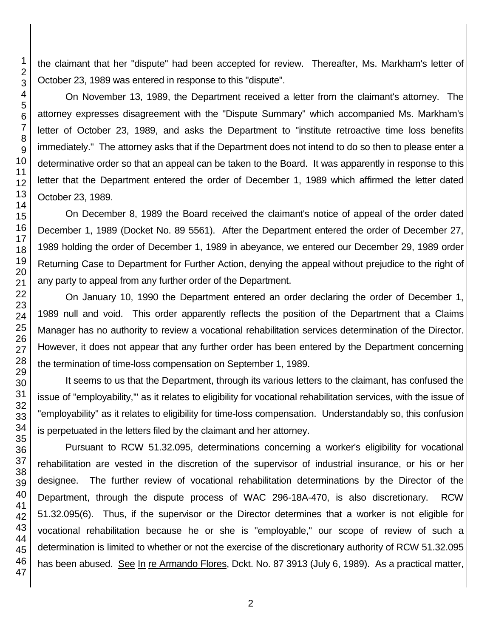the claimant that her "dispute" had been accepted for review. Thereafter, Ms. Markham's letter of October 23, 1989 was entered in response to this "dispute".

On November 13, 1989, the Department received a letter from the claimant's attorney. The attorney expresses disagreement with the "Dispute Summary" which accompanied Ms. Markham's letter of October 23, 1989, and asks the Department to "institute retroactive time loss benefits immediately." The attorney asks that if the Department does not intend to do so then to please enter a determinative order so that an appeal can be taken to the Board. It was apparently in response to this letter that the Department entered the order of December 1, 1989 which affirmed the letter dated October 23, 1989.

On December 8, 1989 the Board received the claimant's notice of appeal of the order dated December 1, 1989 (Docket No. 89 5561). After the Department entered the order of December 27, 1989 holding the order of December 1, 1989 in abeyance, we entered our December 29, 1989 order Returning Case to Department for Further Action, denying the appeal without prejudice to the right of any party to appeal from any further order of the Department.

On January 10, 1990 the Department entered an order declaring the order of December 1, 1989 null and void. This order apparently reflects the position of the Department that a Claims Manager has no authority to review a vocational rehabilitation services determination of the Director. However, it does not appear that any further order has been entered by the Department concerning the termination of time-loss compensation on September 1, 1989.

It seems to us that the Department, through its various letters to the claimant, has confused the issue of "employability,'" as it relates to eligibility for vocational rehabilitation services, with the issue of "employability" as it relates to eligibility for time-loss compensation. Understandably so, this confusion is perpetuated in the letters filed by the claimant and her attorney.

Pursuant to RCW 51.32.095, determinations concerning a worker's eligibility for vocational rehabilitation are vested in the discretion of the supervisor of industrial insurance, or his or her designee. The further review of vocational rehabilitation determinations by the Director of the Department, through the dispute process of WAC 296-18A-470, is also discretionary. RCW 51.32.095(6). Thus, if the supervisor or the Director determines that a worker is not eligible for vocational rehabilitation because he or she is "employable," our scope of review of such a determination is limited to whether or not the exercise of the discretionary authority of RCW 51.32.095 has been abused. See In re Armando Flores, Dckt. No. 87 3913 (July 6, 1989). As a practical matter,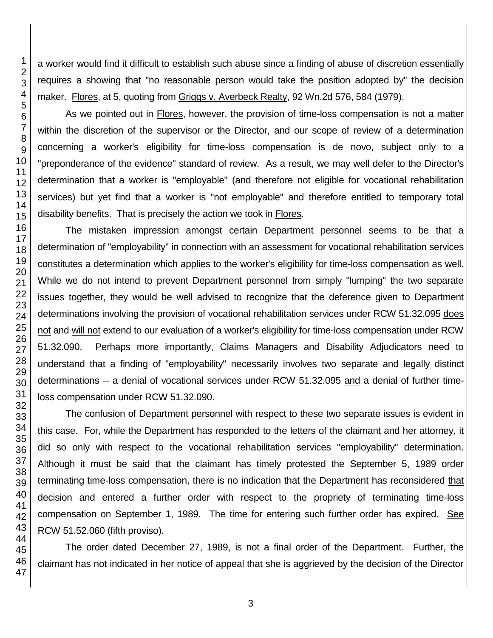a worker would find it difficult to establish such abuse since a finding of abuse of discretion essentially requires a showing that "no reasonable person would take the position adopted by" the decision maker. Flores, at 5, quoting from Griggs v. Averbeck Realty, 92 Wn.2d 576, 584 (1979).

As we pointed out in Flores, however, the provision of time-loss compensation is not a matter within the discretion of the supervisor or the Director, and our scope of review of a determination concerning a worker's eligibility for time-loss compensation is de novo, subject only to a "preponderance of the evidence" standard of review. As a result, we may well defer to the Director's determination that a worker is "employable" (and therefore not eligible for vocational rehabilitation services) but yet find that a worker is "not employable" and therefore entitled to temporary total disability benefits. That is precisely the action we took in Flores.

The mistaken impression amongst certain Department personnel seems to be that a determination of "employability" in connection with an assessment for vocational rehabilitation services constitutes a determination which applies to the worker's eligibility for time-loss compensation as well. While we do not intend to prevent Department personnel from simply "lumping" the two separate issues together, they would be well advised to recognize that the deference given to Department determinations involving the provision of vocational rehabilitation services under RCW 51.32.095 does not and will not extend to our evaluation of a worker's eligibility for time-loss compensation under RCW 51.32.090. Perhaps more importantly, Claims Managers and Disability Adjudicators need to understand that a finding of "employability" necessarily involves two separate and legally distinct determinations -- a denial of vocational services under RCW 51.32.095 and a denial of further timeloss compensation under RCW 51.32.090.

The confusion of Department personnel with respect to these two separate issues is evident in this case. For, while the Department has responded to the letters of the claimant and her attorney, it did so only with respect to the vocational rehabilitation services "employability" determination. Although it must be said that the claimant has timely protested the September 5, 1989 order terminating time-loss compensation, there is no indication that the Department has reconsidered that decision and entered a further order with respect to the propriety of terminating time-loss compensation on September 1, 1989. The time for entering such further order has expired. See RCW 51.52.060 (fifth proviso).

The order dated December 27, 1989, is not a final order of the Department. Further, the claimant has not indicated in her notice of appeal that she is aggrieved by the decision of the Director